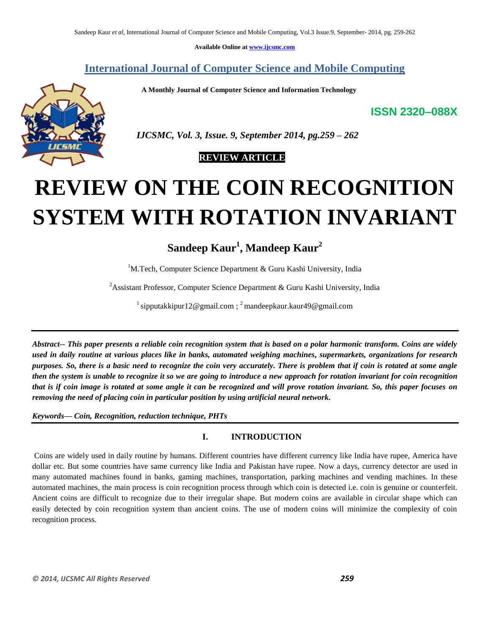**Available Online at www.ijcsmc.com**

# **International Journal of Computer Science and Mobile Computing**

 **A Monthly Journal of Computer Science and Information Technology**

**ISSN 2320–088X**



 *IJCSMC, Vol. 3, Issue. 9, September 2014, pg.259 – 262*

 **REVIEW ARTICLE**

# **REVIEW ON THE COIN RECOGNITION SYSTEM WITH ROTATION INVARIANT**

# **Sandeep Kaur<sup>1</sup> , Mandeep Kaur<sup>2</sup>**

<sup>1</sup>M.Tech, Computer Science Department & Guru Kashi University, India

<sup>2</sup>Assistant Professor, Computer Science Department & Guru Kashi University, India

<sup>1</sup> sipputakkipur12@gmail.com ; <sup>2</sup> mandeepkaur.kaur49@gmail.com

*Abstract-- This paper presents a reliable coin recognition system that is based on a polar harmonic transform. Coins are widely used in daily routine at various places like in banks, automated weighing machines, supermarkets, organizations for research purposes. So, there is a basic need to recognize the coin very accurately. There is problem that if coin is rotated at some angle then the system is unable to recognize it so we are going to introduce a new approach for rotation invariant for coin recognition that is if coin image is rotated at some angle it can be recognized and will prove rotation invariant. So, this paper focuses on removing the need of placing coin in particular position by using artificial neural network.*

*Keywords— Coin, Recognition, reduction technique, PHTs*

## **I. INTRODUCTION**

Coins are widely used in daily routine by humans. Different countries have different currency like India have rupee, America have dollar etc. But some countries have same currency like India and Pakistan have rupee. Now a days, currency detector are used in many automated machines found in banks, gaming machines, transportation, parking machines and vending machines. In these automated machines, the main process is coin recognition process through which coin is detected i.e. coin is genuine or counterfeit. Ancient coins are difficult to recognize due to their irregular shape. But modern coins are available in circular shape which can easily detected by coin recognition system than ancient coins. The use of modern coins will minimize the complexity of coin recognition process.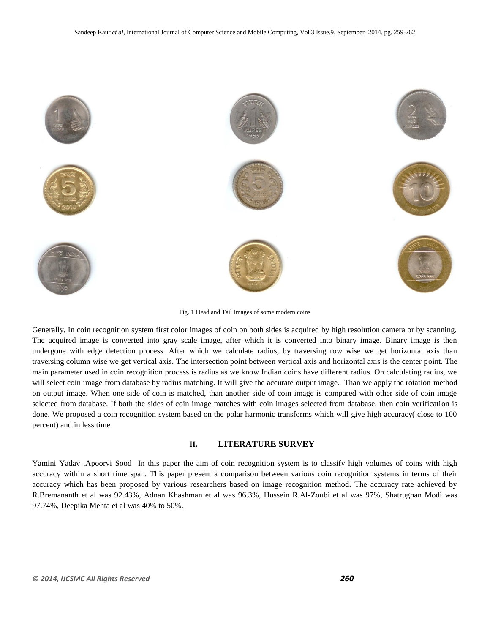

Fig. 1 Head and Tail Images of some modern coins

Generally, In coin recognition system first color images of coin on both sides is acquired by high resolution camera or by scanning. The acquired image is converted into gray scale image, after which it is converted into binary image. Binary image is then undergone with edge detection process. After which we calculate radius, by traversing row wise we get horizontal axis than traversing column wise we get vertical axis. The intersection point between vertical axis and horizontal axis is the center point. The main parameter used in coin recognition process is radius as we know Indian coins have different radius. On calculating radius, we will select coin image from database by radius matching. It will give the accurate output image. Than we apply the rotation method on output image. When one side of coin is matched, than another side of coin image is compared with other side of coin image selected from database. If both the sides of coin image matches with coin images selected from database, then coin verification is done. We proposed a coin recognition system based on the polar harmonic transforms which will give high accuracy( close to 100 percent) and in less time

#### **II. LITERATURE SURVEY**

Yamini Yadav ,Apoorvi Sood In this paper the aim of coin recognition system is to classify high volumes of coins with high accuracy within a short time span. This paper present a comparison between various coin recognition systems in terms of their accuracy which has been proposed by various researchers based on image recognition method. The accuracy rate achieved by R.Bremananth et al was 92.43%, Adnan Khashman et al was 96.3%, Hussein R.Al-Zoubi et al was 97%, Shatrughan Modi was 97.74%, Deepika Mehta et al was 40% to 50%.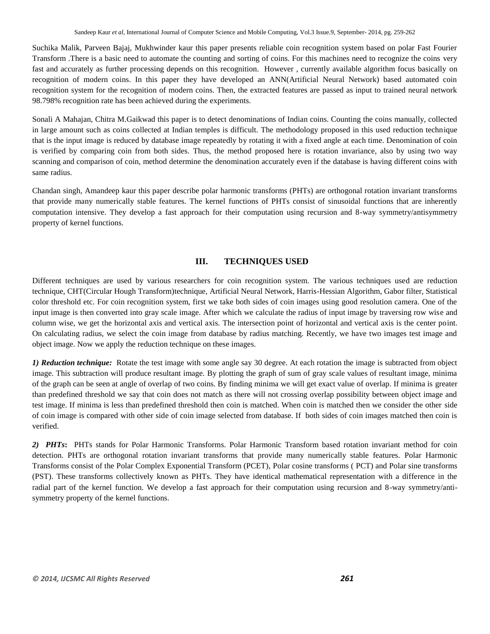Suchika Malik, Parveen Bajaj, Mukhwinder kaur this paper presents reliable coin recognition system based on polar Fast Fourier Transform .There is a basic need to automate the counting and sorting of coins. For this machines need to recognize the coins very fast and accurately as further processing depends on this recognition. However , currently available algorithm focus basically on recognition of modern coins. In this paper they have developed an ANN(Artificial Neural Network) based automated coin recognition system for the recognition of modern coins. Then, the extracted features are passed as input to trained neural network 98.798% recognition rate has been achieved during the experiments.

Sonali A Mahajan, Chitra M.Gaikwad this paper is to detect denominations of Indian coins. Counting the coins manually, collected in large amount such as coins collected at Indian temples is difficult. The methodology proposed in this used reduction technique that is the input image is reduced by database image repeatedly by rotating it with a fixed angle at each time. Denomination of coin is verified by comparing coin from both sides. Thus, the method proposed here is rotation invariance, also by using two way scanning and comparison of coin, method determine the denomination accurately even if the database is having different coins with same radius.

Chandan singh, Amandeep kaur this paper describe polar harmonic transforms (PHTs) are orthogonal rotation invariant transforms that provide many numerically stable features. The kernel functions of PHTs consist of sinusoidal functions that are inherently computation intensive. They develop a fast approach for their computation using recursion and 8-way symmetry/antisymmetry property of kernel functions.

## **III. TECHNIQUES USED**

Different techniques are used by various researchers for coin recognition system. The various techniques used are reduction technique, CHT(Circular Hough Transform)technique, Artificial Neural Network, Harris-Hessian Algorithm, Gabor filter, Statistical color threshold etc. For coin recognition system, first we take both sides of coin images using good resolution camera. One of the input image is then converted into gray scale image. After which we calculate the radius of input image by traversing row wise and column wise, we get the horizontal axis and vertical axis. The intersection point of horizontal and vertical axis is the center point. On calculating radius, we select the coin image from database by radius matching. Recently, we have two images test image and object image. Now we apply the reduction technique on these images.

*1) Reduction technique:* Rotate the test image with some angle say 30 degree. At each rotation the image is subtracted from object image. This subtraction will produce resultant image. By plotting the graph of sum of gray scale values of resultant image, minima of the graph can be seen at angle of overlap of two coins. By finding minima we will get exact value of overlap. If minima is greater than predefined threshold we say that coin does not match as there will not crossing overlap possibility between object image and test image. If minima is less than predefined threshold then coin is matched. When coin is matched then we consider the other side of coin image is compared with other side of coin image selected from database. If both sides of coin images matched then coin is verified.

*2) PHTs***:** PHTs stands for Polar Harmonic Transforms. Polar Harmonic Transform based rotation invariant method for coin detection. PHTs are orthogonal rotation invariant transforms that provide many numerically stable features. Polar Harmonic Transforms consist of the Polar Complex Exponential Transform (PCET), Polar cosine transforms ( PCT) and Polar sine transforms (PST). These transforms collectively known as PHTs. They have identical mathematical representation with a difference in the radial part of the kernel function. We develop a fast approach for their computation using recursion and 8-way symmetry/antisymmetry property of the kernel functions.